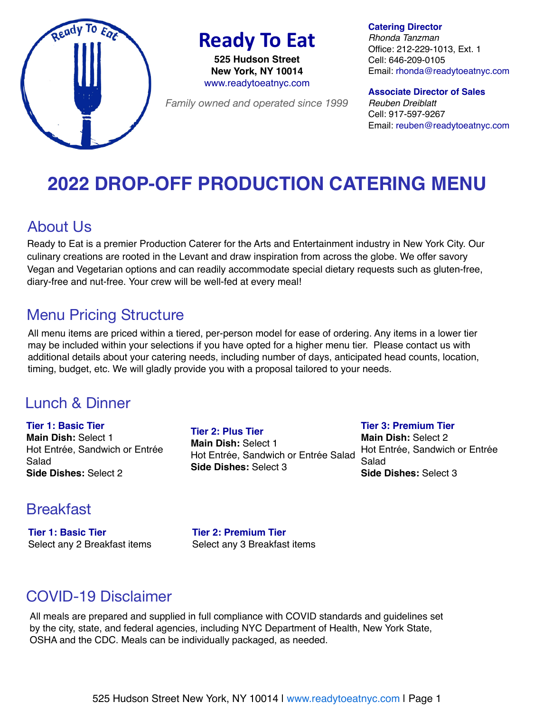

**Ready To Eat** 

**525 Hudson Street New York, NY 10014**  www.readytoeatnyc.com

*Family owned and operated since 1999*

**Catering Director**

*Rhonda Tanzman* Office: 212-229-1013, Ext. 1 Cell: 646-209-0105 Email: rhonda@readytoeatnyc.com

**Associate Director of Sales** *Reuben Dreiblatt* Cell: 917-597-9267 Email: reuben@readytoeatnyc.com

# **2022 DROP-OFF PRODUCTION CATERING MENU**

# About Us

Ready to Eat is a premier Production Caterer for the Arts and Entertainment industry in New York City. Our culinary creations are rooted in the Levant and draw inspiration from across the globe. We offer savory Vegan and Vegetarian options and can readily accommodate special dietary requests such as gluten-free, diary-free and nut-free. Your crew will be well-fed at every meal!

# Menu Pricing Structure

All menu items are priced within a tiered, per-person model for ease of ordering. Any items in a lower tier may be included within your selections if you have opted for a higher menu tier. Please contact us with additional details about your catering needs, including number of days, anticipated head counts, location, timing, budget, etc. We will gladly provide you with a proposal tailored to your needs.

### Lunch & Dinner

**Tier 1: Basic Tier Main Dish:** Select 1 Hot Entrée, Sandwich or Entrée Salad **Side Dishes:** Select 2

**Tier 2: Plus Tier Main Dish:** Select 1 Hot Entrée, Sandwich or Entrée Salad **Side Dishes:** Select 3

**Tier 3: Premium Tier Main Dish:** Select 2 Hot Entrée, Sandwich or Entrée Salad **Side Dishes:** Select 3

### Breakfast

**Tier 1: Basic Tier** Select any 2 Breakfast items **Tier 2: Premium Tier** Select any 3 Breakfast items

# COVID-19 Disclaimer

All meals are prepared and supplied in full compliance with COVID standards and guidelines set by the city, state, and federal agencies, including NYC Department of Health, New York State, OSHA and the CDC. Meals can be individually packaged, as needed.